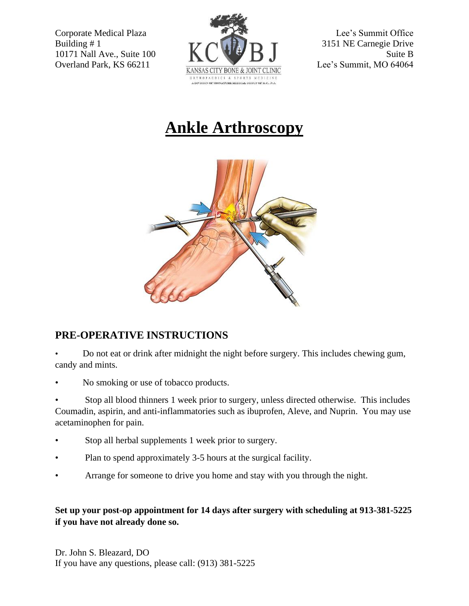

## **Ankle Arthroscopy**



## **PRE-OPERATIVE INSTRUCTIONS**

• Do not eat or drink after midnight the night before surgery. This includes chewing gum, candy and mints.

• No smoking or use of tobacco products.

• Stop all blood thinners 1 week prior to surgery, unless directed otherwise. This includes Coumadin, aspirin, and anti-inflammatories such as ibuprofen, Aleve, and Nuprin. You may use acetaminophen for pain.

- Stop all herbal supplements 1 week prior to surgery.
- Plan to spend approximately 3-5 hours at the surgical facility.
- Arrange for someone to drive you home and stay with you through the night.

## **Set up your post-op appointment for 14 days after surgery with scheduling at 913-381-5225 if you have not already done so.**

Dr. John S. Bleazard, DO If you have any questions, please call: (913) 381-5225